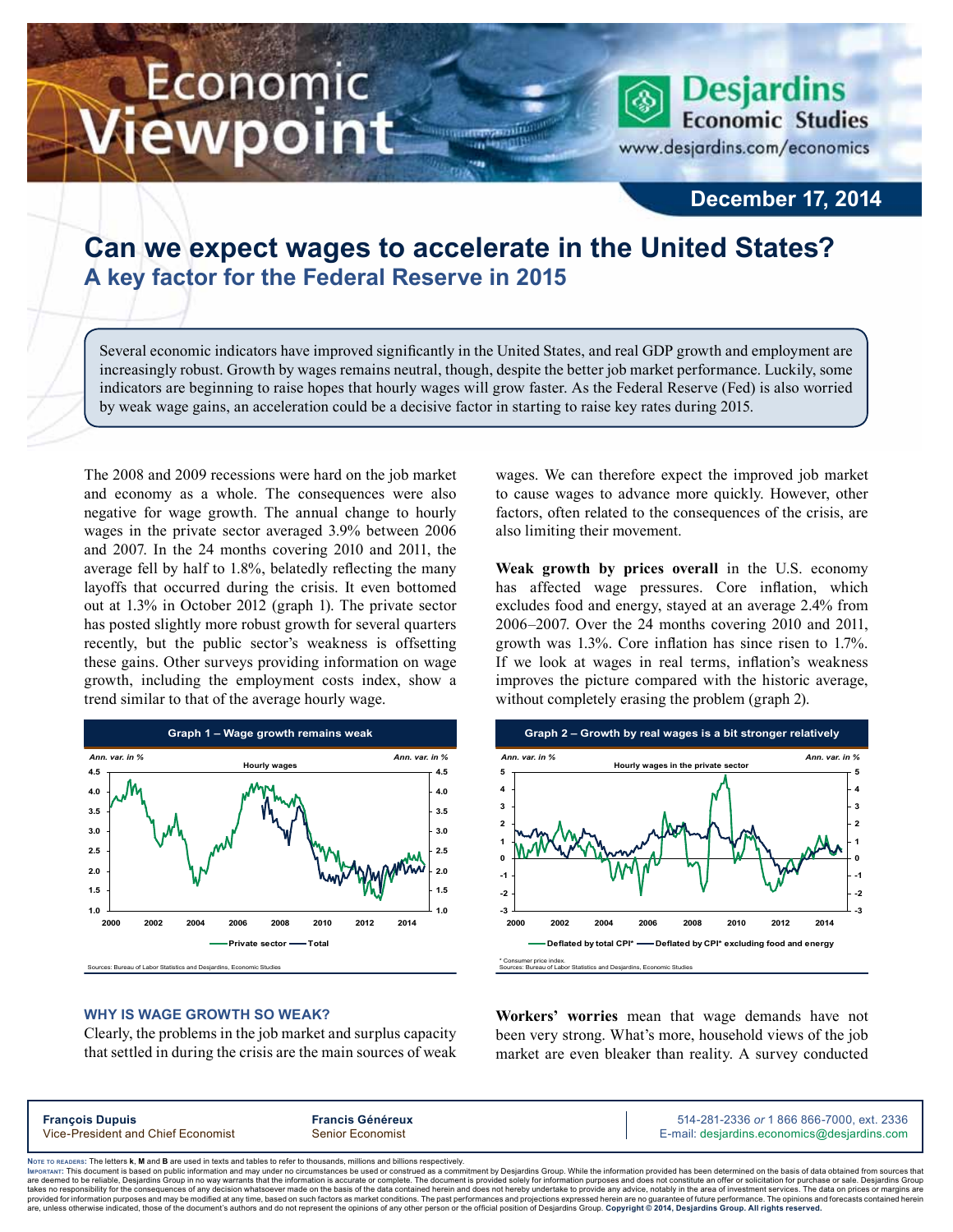# Economic ewpoint

**Desjardins Economic Studies** www.desjardins.com/economics

### **December 17, 2014**

## **Can we expect wages to accelerate in the United States? A key factor for the Federal Reserve in 2015**

Several economic indicators have improved significantly in the United States, and real GDP growth and employment are increasingly robust. Growth by wages remains neutral, though, despite the better job market performance. Luckily, some indicators are beginning to raise hopes that hourly wages will grow faster. As the Federal Reserve (Fed) is also worried by weak wage gains, an acceleration could be a decisive factor in starting to raise key rates during 2015.

The 2008 and 2009 recessions were hard on the job market and economy as a whole. The consequences were also negative for wage growth. The annual change to hourly wages in the private sector averaged 3.9% between 2006 and 2007. In the 24 months covering 2010 and 2011, the average fell by half to 1.8%, belatedly reflecting the many layoffs that occurred during the crisis. It even bottomed out at 1.3% in October 2012 (graph 1). The private sector has posted slightly more robust growth for several quarters recently, but the public sector's weakness is offsetting these gains. Other surveys providing information on wage growth, including the employment costs index, show a trend similar to that of the average hourly wage.



#### **Why is wage growth so weak?**

Clearly, the problems in the job market and surplus capacity that settled in during the crisis are the main sources of weak wages. We can therefore expect the improved job market to cause wages to advance more quickly. However, other factors, often related to the consequences of the crisis, are also limiting their movement.

**Weak growth by prices overall** in the U.S. economy has affected wage pressures. Core inflation, which excludes food and energy, stayed at an average 2.4% from 2006–2007. Over the 24 months covering 2010 and 2011, growth was 1.3%. Core inflation has since risen to 1.7%. If we look at wages in real terms, inflation's weakness improves the picture compared with the historic average, without completely erasing the problem (graph 2).



**Workers' worries** mean that wage demands have not been very strong. What's more, household views of the job market are even bleaker than reality. A survey conducted

| <b>François Dupuis</b><br>Vice-President and Chief Economist | <b>Francis Généreux</b> | 514-281-2336 or 1 866 866-7000, ext. 2336   |
|--------------------------------------------------------------|-------------------------|---------------------------------------------|
|                                                              | <b>Senior Economist</b> | E-mail: desjardins.economics@desjardins.com |

Noте то келоекs: The letters **k, M** and **B** are used in texts and tables to refer to thousands, millions and billions respectively.<br>Імроктлит: This document is based on public information and may under no circumstances be are deemed to be reliable. Desiardins Group in no way warrants that the information is accurate or complete. The document is provided solely for information purposes and does not constitute an offer or solicitation for pur takes no responsibility for the consequences of any decision whatsoever made on the basis of the data contained herein and does not hereby undertake to provide any advice, notably in the area of investment services. The da .<br>are, unless otherwise indicated, those of the document's authors and do not represent the opinions of any other person or the official position of Desjardins Group. Copyright © 2014, Desjardins Group. All rights reserve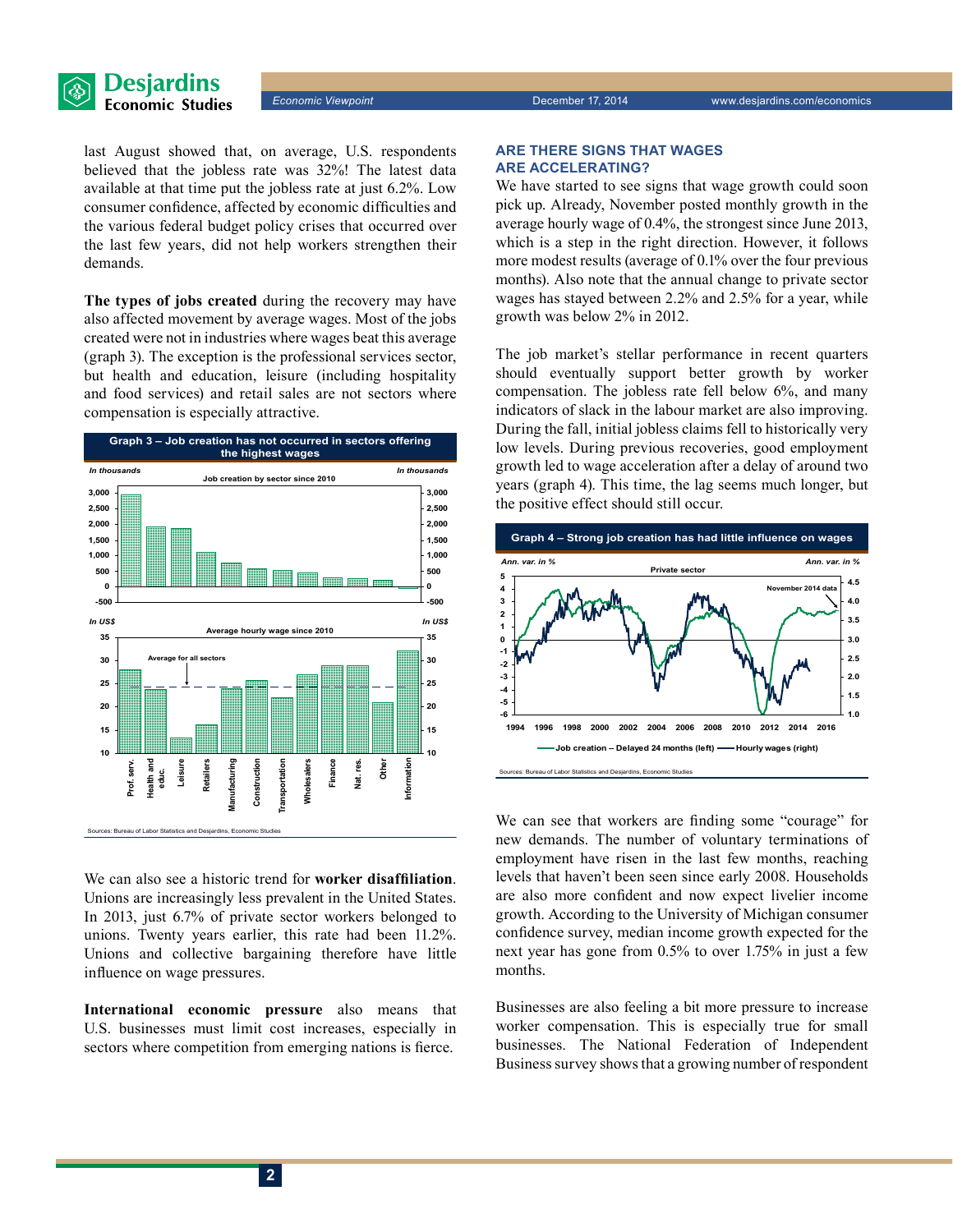

last August showed that, on average, U.S. respondents believed that the jobless rate was 32%! The latest data available at that time put the jobless rate at just 6.2%. Low consumer confidence, affected by economic difficulties and the various federal budget policy crises that occurred over the last few years, did not help workers strengthen their demands.

**The types of jobs created** during the recovery may have also affected movement by average wages. Most of the jobs created were not in industries where wages beat this average (graph 3). The exception is the professional services sector, but health and education, leisure (including hospitality and food services) and retail sales are not sectors where compensation is especially attractive.



We can also see a historic trend for **worker disaffiliation**. Unions are increasingly less prevalent in the United States. In 2013, just 6.7% of private sector workers belonged to unions. Twenty years earlier, this rate had been 11.2%. Unions and collective bargaining therefore have little influence on wage pressures.

**International economic pressure** also means that U.S. businesses must limit cost increases, especially in sectors where competition from emerging nations is fierce.

#### **Are there signs that wages are accelerating?**

We have started to see signs that wage growth could soon pick up. Already, November posted monthly growth in the average hourly wage of 0.4%, the strongest since June 2013, which is a step in the right direction. However, it follows more modest results (average of 0.1% over the four previous months). Also note that the annual change to private sector wages has stayed between 2.2% and 2.5% for a year, while growth was below 2% in 2012.

The job market's stellar performance in recent quarters should eventually support better growth by worker compensation. The jobless rate fell below 6%, and many indicators of slack in the labour market are also improving. During the fall, initial jobless claims fell to historically very low levels. During previous recoveries, good employment growth led to wage acceleration after a delay of around two years (graph 4). This time, the lag seems much longer, but the positive effect should still occur.



We can see that workers are finding some "courage" for new demands. The number of voluntary terminations of employment have risen in the last few months, reaching levels that haven't been seen since early 2008. Households are also more confident and now expect livelier income growth. According to the University of Michigan consumer confidence survey, median income growth expected for the next year has gone from 0.5% to over 1.75% in just a few months.

Businesses are also feeling a bit more pressure to increase worker compensation. This is especially true for small businesses. The National Federation of Independent Business survey shows that a growing number of respondent